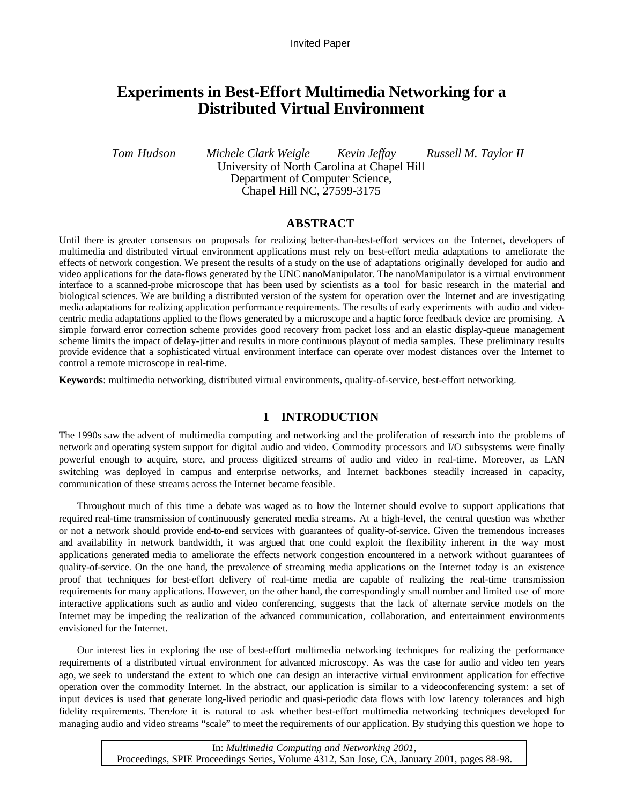# **Experiments in Best-Effort Multimedia Networking for a Distributed Virtual Environment**

*Tom Hudson Michele Clark Weigle Kevin Jeffay Russell M. Taylor II* University of North Carolina at Chapel Hill Department of Computer Science, Chapel Hill NC, 27599-3175

#### **ABSTRACT**

Until there is greater consensus on proposals for realizing better-than-best-effort services on the Internet, developers of multimedia and distributed virtual environment applications must rely on best-effort media adaptations to ameliorate the effects of network congestion. We present the results of a study on the use of adaptations originally developed for audio and video applications for the data-flows generated by the UNC nanoManipulator. The nanoManipulator is a virtual environment interface to a scanned-probe microscope that has been used by scientists as a tool for basic research in the material and biological sciences. We are building a distributed version of the system for operation over the Internet and are investigating media adaptations for realizing application performance requirements. The results of early experiments with audio and videocentric media adaptations applied to the flows generated by a microscope and a haptic force feedback device are promising. A simple forward error correction scheme provides good recovery from packet loss and an elastic display-queue management scheme limits the impact of delay-jitter and results in more continuous playout of media samples. These preliminary results provide evidence that a sophisticated virtual environment interface can operate over modest distances over the Internet to control a remote microscope in real-time.

**Keywords**: multimedia networking, distributed virtual environments, quality-of-service, best-effort networking.

#### **1 INTRODUCTION**

The 1990s saw the advent of multimedia computing and networking and the proliferation of research into the problems of network and operating system support for digital audio and video. Commodity processors and I/O subsystems were finally powerful enough to acquire, store, and process digitized streams of audio and video in real-time. Moreover, as LAN switching was deployed in campus and enterprise networks, and Internet backbones steadily increased in capacity, communication of these streams across the Internet became feasible.

Throughout much of this time a debate was waged as to how the Internet should evolve to support applications that required real-time transmission of continuously generated media streams. At a high-level, the central question was whether or not a network should provide end-to-end services with guarantees of quality-of-service. Given the tremendous increases and availability in network bandwidth, it was argued that one could exploit the flexibility inherent in the way most applications generated media to ameliorate the effects network congestion encountered in a network without guarantees of quality-of-service. On the one hand, the prevalence of streaming media applications on the Internet today is an existence proof that techniques for best-effort delivery of real-time media are capable of realizing the real-time transmission requirements for many applications. However, on the other hand, the correspondingly small number and limited use of more interactive applications such as audio and video conferencing, suggests that the lack of alternate service models on the Internet may be impeding the realization of the advanced communication, collaboration, and entertainment environments envisioned for the Internet.

Our interest lies in exploring the use of best-effort multimedia networking techniques for realizing the performance requirements of a distributed virtual environment for advanced microscopy. As was the case for audio and video ten years ago, we seek to understand the extent to which one can design an interactive virtual environment application for effective operation over the commodity Internet. In the abstract, our application is similar to a videoconferencing system: a set of input devices is used that generate long-lived periodic and quasi-periodic data flows with low latency tolerances and high fidelity requirements. Therefore it is natural to ask whether best-effort multimedia networking techniques developed for managing audio and video streams "scale" to meet the requirements of our application. By studying this question we hope to

> In: *Multimedia Computing and Networking 2001*, Proceedings, SPIE Proceedings Series, Volume 4312, San Jose, CA, January 2001, pages 88-98.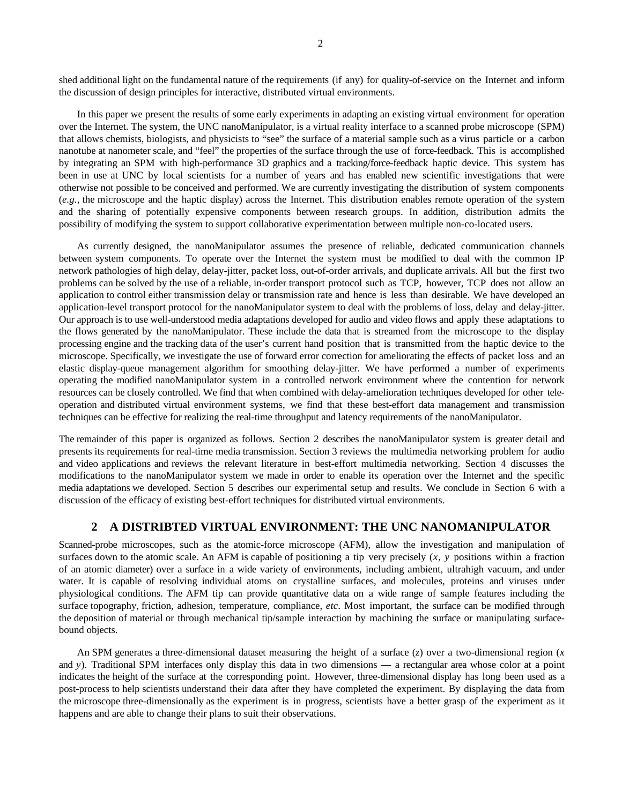shed additional light on the fundamental nature of the requirements (if any) for quality-of-service on the Internet and inform the discussion of design principles for interactive, distributed virtual environments.

In this paper we present the results of some early experiments in adapting an existing virtual environment for operation over the Internet. The system, the UNC nanoManipulator, is a virtual reality interface to a scanned probe microscope (SPM) that allows chemists, biologists, and physicists to "see" the surface of a material sample such as a virus particle or a carbon nanotube at nanometer scale, and "feel" the properties of the surface through the use of force-feedback. This is accomplished by integrating an SPM with high-performance 3D graphics and a tracking/force-feedback haptic device. This system has been in use at UNC by local scientists for a number of years and has enabled new scientific investigations that were otherwise not possible to be conceived and performed. We are currently investigating the distribution of system components (*e.g.*, the microscope and the haptic display) across the Internet. This distribution enables remote operation of the system and the sharing of potentially expensive components between research groups. In addition, distribution admits the possibility of modifying the system to support collaborative experimentation between multiple non-co-located users.

As currently designed, the nanoManipulator assumes the presence of reliable, dedicated communication channels between system components. To operate over the Internet the system must be modified to deal with the common IP network pathologies of high delay, delay-jitter, packet loss, out-of-order arrivals, and duplicate arrivals. All but the first two problems can be solved by the use of a reliable, in-order transport protocol such as TCP, however, TCP does not allow an application to control either transmission delay or transmission rate and hence is less than desirable. We have developed an application-level transport protocol for the nanoManipulator system to deal with the problems of loss, delay and delay-jitter. Our approach is to use well-understood media adaptations developed for audio and video flows and apply these adaptations to the flows generated by the nanoManipulator. These include the data that is streamed from the microscope to the display processing engine and the tracking data of the user's current hand position that is transmitted from the haptic device to the microscope. Specifically, we investigate the use of forward error correction for ameliorating the effects of packet loss and an elastic display-queue management algorithm for smoothing delay-jitter. We have performed a number of experiments operating the modified nanoManipulator system in a controlled network environment where the contention for network resources can be closely controlled. We find that when combined with delay-amelioration techniques developed for other teleoperation and distributed virtual environment systems, we find that these best-effort data management and transmission techniques can be effective for realizing the real-time throughput and latency requirements of the nanoManipulator.

The remainder of this paper is organized as follows. Section 2 describes the nanoManipulator system is greater detail and presents its requirements for real-time media transmission. Section 3 reviews the multimedia networking problem for audio and video applications and reviews the relevant literature in best-effort multimedia networking. Section 4 discusses the modifications to the nanoManipulator system we made in order to enable its operation over the Internet and the specific media adaptations we developed. Section 5 describes our experimental setup and results. We conclude in Section 6 with a discussion of the efficacy of existing best-effort techniques for distributed virtual environments.

## **2 A DISTRIBTED VIRTUAL ENVIRONMENT: THE UNC NANOMANIPULATOR**

Scanned-probe microscopes, such as the atomic-force microscope (AFM), allow the investigation and manipulation of surfaces down to the atomic scale. An AFM is capable of positioning a tip very precisely (*x*, *y* positions within a fraction of an atomic diameter) over a surface in a wide variety of environments, including ambient, ultrahigh vacuum, and under water. It is capable of resolving individual atoms on crystalline surfaces, and molecules, proteins and viruses under physiological conditions. The AFM tip can provide quantitative data on a wide range of sample features including the surface topography, friction, adhesion, temperature, compliance, *etc*. Most important, the surface can be modified through the deposition of material or through mechanical tip/sample interaction by machining the surface or manipulating surfacebound objects.

An SPM generates a three-dimensional dataset measuring the height of a surface (*z*) over a two-dimensional region (*x* and *y*). Traditional SPM interfaces only display this data in two dimensions — a rectangular area whose color at a point indicates the height of the surface at the corresponding point. However, three-dimensional display has long been used as a post-process to help scientists understand their data after they have completed the experiment. By displaying the data from the microscope three-dimensionally as the experiment is in progress, scientists have a better grasp of the experiment as it happens and are able to change their plans to suit their observations.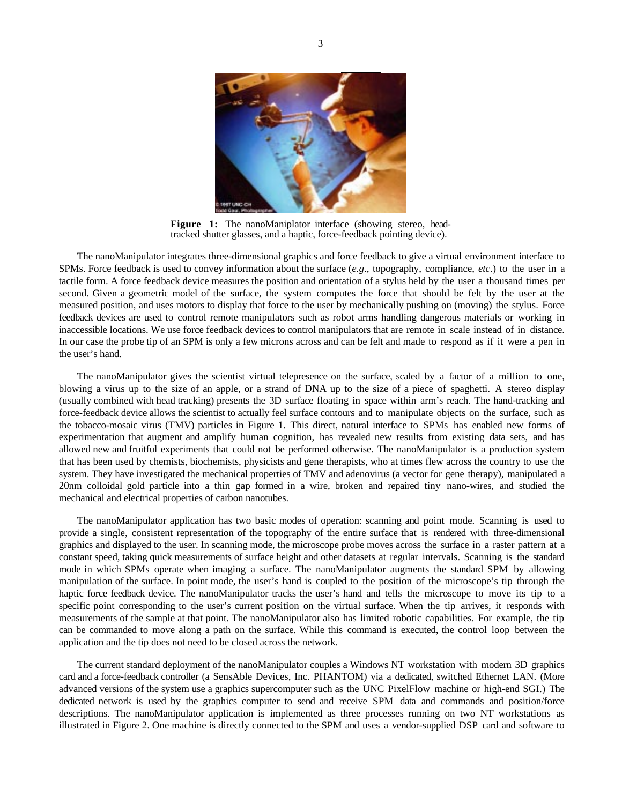

**Figure 1:** The nanoManiplator interface (showing stereo, headtracked shutter glasses, and a haptic, force-feedback pointing device).

The nanoManipulator integrates three-dimensional graphics and force feedback to give a virtual environment interface to SPMs. Force feedback is used to convey information about the surface (*e.g*., topography, compliance, *etc*.) to the user in a tactile form. A force feedback device measures the position and orientation of a stylus held by the user a thousand times per second. Given a geometric model of the surface, the system computes the force that should be felt by the user at the measured position, and uses motors to display that force to the user by mechanically pushing on (moving) the stylus. Force feedback devices are used to control remote manipulators such as robot arms handling dangerous materials or working in inaccessible locations. We use force feedback devices to control manipulators that are remote in scale instead of in distance. In our case the probe tip of an SPM is only a few microns across and can be felt and made to respond as if it were a pen in the user's hand.

The nanoManipulator gives the scientist virtual telepresence on the surface, scaled by a factor of a million to one, blowing a virus up to the size of an apple, or a strand of DNA up to the size of a piece of spaghetti. A stereo display (usually combined with head tracking) presents the 3D surface floating in space within arm's reach. The hand-tracking and force-feedback device allows the scientist to actually feel surface contours and to manipulate objects on the surface, such as the tobacco-mosaic virus (TMV) particles in Figure 1. This direct, natural interface to SPMs has enabled new forms of experimentation that augment and amplify human cognition, has revealed new results from existing data sets, and has allowed new and fruitful experiments that could not be performed otherwise. The nanoManipulator is a production system that has been used by chemists, biochemists, physicists and gene therapists, who at times flew across the country to use the system. They have investigated the mechanical properties of TMV and adenovirus (a vector for gene therapy), manipulated a 20nm colloidal gold particle into a thin gap formed in a wire, broken and repaired tiny nano-wires, and studied the mechanical and electrical properties of carbon nanotubes.

The nanoManipulator application has two basic modes of operation: scanning and point mode. Scanning is used to provide a single, consistent representation of the topography of the entire surface that is rendered with three-dimensional graphics and displayed to the user. In scanning mode, the microscope probe moves across the surface in a raster pattern at a constant speed, taking quick measurements of surface height and other datasets at regular intervals. Scanning is the standard mode in which SPMs operate when imaging a surface. The nanoManipulator augments the standard SPM by allowing manipulation of the surface. In point mode, the user's hand is coupled to the position of the microscope's tip through the haptic force feedback device. The nanoManipulator tracks the user's hand and tells the microscope to move its tip to a specific point corresponding to the user's current position on the virtual surface. When the tip arrives, it responds with measurements of the sample at that point. The nanoManipulator also has limited robotic capabilities. For example, the tip can be commanded to move along a path on the surface. While this command is executed, the control loop between the application and the tip does not need to be closed across the network.

The current standard deployment of the nanoManipulator couples a Windows NT workstation with modern 3D graphics card and a force-feedback controller (a SensAble Devices, Inc. PHANTOM) via a dedicated, switched Ethernet LAN. (More advanced versions of the system use a graphics supercomputer such as the UNC PixelFlow machine or high-end SGI.) The dedicated network is used by the graphics computer to send and receive SPM data and commands and position/force descriptions. The nanoManipulator application is implemented as three processes running on two NT workstations as illustrated in Figure 2. One machine is directly connected to the SPM and uses a vendor-supplied DSP card and software to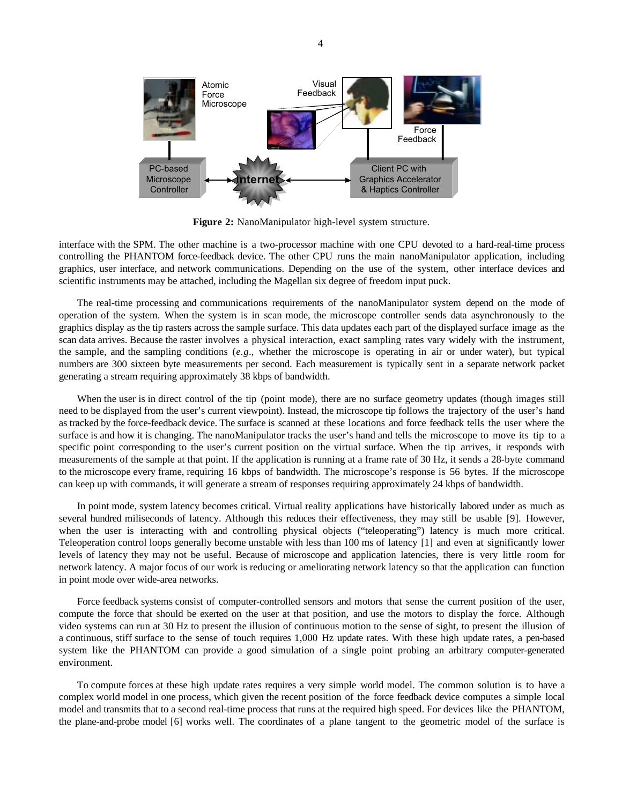

**Figure 2:** NanoManipulator high-level system structure.

interface with the SPM. The other machine is a two-processor machine with one CPU devoted to a hard-real-time process controlling the PHANTOM force-feedback device. The other CPU runs the main nanoManipulator application, including graphics, user interface, and network communications. Depending on the use of the system, other interface devices and scientific instruments may be attached, including the Magellan six degree of freedom input puck.

The real-time processing and communications requirements of the nanoManipulator system depend on the mode of operation of the system. When the system is in scan mode, the microscope controller sends data asynchronously to the graphics display as the tip rasters across the sample surface. This data updates each part of the displayed surface image as the scan data arrives. Because the raster involves a physical interaction, exact sampling rates vary widely with the instrument, the sample, and the sampling conditions (*e.g*., whether the microscope is operating in air or under water), but typical numbers are 300 sixteen byte measurements per second. Each measurement is typically sent in a separate network packet generating a stream requiring approximately 38 kbps of bandwidth.

When the user is in direct control of the tip (point mode), there are no surface geometry updates (though images still need to be displayed from the user's current viewpoint). Instead, the microscope tip follows the trajectory of the user's hand as tracked by the force-feedback device. The surface is scanned at these locations and force feedback tells the user where the surface is and how it is changing. The nanoManipulator tracks the user's hand and tells the microscope to move its tip to a specific point corresponding to the user's current position on the virtual surface. When the tip arrives, it responds with measurements of the sample at that point. If the application is running at a frame rate of 30 Hz, it sends a 28-byte command to the microscope every frame, requiring 16 kbps of bandwidth. The microscope's response is 56 bytes. If the microscope can keep up with commands, it will generate a stream of responses requiring approximately 24 kbps of bandwidth.

In point mode, system latency becomes critical. Virtual reality applications have historically labored under as much as several hundred miliseconds of latency. Although this reduces their effectiveness, they may still be usable [9]. However, when the user is interacting with and controlling physical objects ("teleoperating") latency is much more critical. Teleoperation control loops generally become unstable with less than 100 ms of latency [1] and even at significantly lower levels of latency they may not be useful. Because of microscope and application latencies, there is very little room for network latency. A major focus of our work is reducing or ameliorating network latency so that the application can function in point mode over wide-area networks.

Force feedback systems consist of computer-controlled sensors and motors that sense the current position of the user, compute the force that should be exerted on the user at that position, and use the motors to display the force. Although video systems can run at 30 Hz to present the illusion of continuous motion to the sense of sight, to present the illusion of a continuous, stiff surface to the sense of touch requires 1,000 Hz update rates. With these high update rates, a pen-based system like the PHANTOM can provide a good simulation of a single point probing an arbitrary computer-generated environment.

To compute forces at these high update rates requires a very simple world model. The common solution is to have a complex world model in one process, which given the recent position of the force feedback device computes a simple local model and transmits that to a second real-time process that runs at the required high speed. For devices like the PHANTOM, the plane-and-probe model [6] works well. The coordinates of a plane tangent to the geometric model of the surface is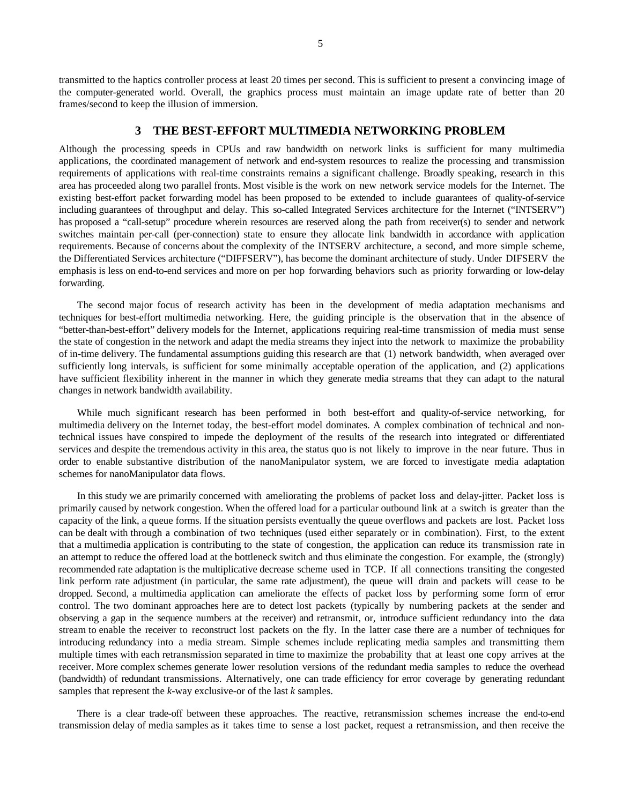transmitted to the haptics controller process at least 20 times per second. This is sufficient to present a convincing image of the computer-generated world. Overall, the graphics process must maintain an image update rate of better than 20 frames/second to keep the illusion of immersion.

# **3 THE BEST-EFFORT MULTIMEDIA NETWORKING PROBLEM**

Although the processing speeds in CPUs and raw bandwidth on network links is sufficient for many multimedia applications, the coordinated management of network and end-system resources to realize the processing and transmission requirements of applications with real-time constraints remains a significant challenge. Broadly speaking, research in this area has proceeded along two parallel fronts. Most visible is the work on new network service models for the Internet. The existing best-effort packet forwarding model has been proposed to be extended to include guarantees of quality-of-service including guarantees of throughput and delay. This so-called Integrated Services architecture for the Internet ("INTSERV") has proposed a "call-setup" procedure wherein resources are reserved along the path from receiver(s) to sender and network switches maintain per-call (per-connection) state to ensure they allocate link bandwidth in accordance with application requirements. Because of concerns about the complexity of the INTSERV architecture, a second, and more simple scheme, the Differentiated Services architecture ("DIFFSERV"), has become the dominant architecture of study. Under DIFSERV the emphasis is less on end-to-end services and more on per hop forwarding behaviors such as priority forwarding or low-delay forwarding.

The second major focus of research activity has been in the development of media adaptation mechanisms and techniques for best-effort multimedia networking. Here, the guiding principle is the observation that in the absence of "better-than-best-effort" delivery models for the Internet, applications requiring real-time transmission of media must sense the state of congestion in the network and adapt the media streams they inject into the network to maximize the probability of in-time delivery. The fundamental assumptions guiding this research are that (1) network bandwidth, when averaged over sufficiently long intervals, is sufficient for some minimally acceptable operation of the application, and (2) applications have sufficient flexibility inherent in the manner in which they generate media streams that they can adapt to the natural changes in network bandwidth availability.

While much significant research has been performed in both best-effort and quality-of-service networking, for multimedia delivery on the Internet today, the best-effort model dominates. A complex combination of technical and nontechnical issues have conspired to impede the deployment of the results of the research into integrated or differentiated services and despite the tremendous activity in this area, the status quo is not likely to improve in the near future. Thus in order to enable substantive distribution of the nanoManipulator system, we are forced to investigate media adaptation schemes for nanoManipulator data flows.

In this study we are primarily concerned with ameliorating the problems of packet loss and delay-jitter. Packet loss is primarily caused by network congestion. When the offered load for a particular outbound link at a switch is greater than the capacity of the link, a queue forms. If the situation persists eventually the queue overflows and packets are lost. Packet loss can be dealt with through a combination of two techniques (used either separately or in combination). First, to the extent that a multimedia application is contributing to the state of congestion, the application can reduce its transmission rate in an attempt to reduce the offered load at the bottleneck switch and thus eliminate the congestion. For example, the (strongly) recommended rate adaptation is the multiplicative decrease scheme used in TCP. If all connections transiting the congested link perform rate adjustment (in particular, the same rate adjustment), the queue will drain and packets will cease to be dropped. Second, a multimedia application can ameliorate the effects of packet loss by performing some form of error control. The two dominant approaches here are to detect lost packets (typically by numbering packets at the sender and observing a gap in the sequence numbers at the receiver) and retransmit, or, introduce sufficient redundancy into the data stream to enable the receiver to reconstruct lost packets on the fly. In the latter case there are a number of techniques for introducing redundancy into a media stream. Simple schemes include replicating media samples and transmitting them multiple times with each retransmission separated in time to maximize the probability that at least one copy arrives at the receiver. More complex schemes generate lower resolution versions of the redundant media samples to reduce the overhead (bandwidth) of redundant transmissions. Alternatively, one can trade efficiency for error coverage by generating redundant samples that represent the *k*-way exclusive-or of the last *k* samples.

There is a clear trade-off between these approaches. The reactive, retransmission schemes increase the end-to-end transmission delay of media samples as it takes time to sense a lost packet, request a retransmission, and then receive the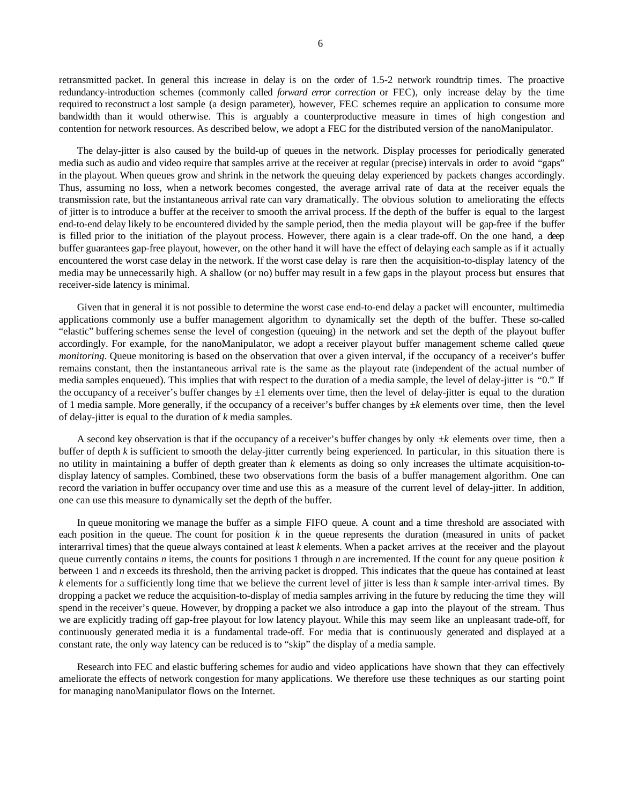retransmitted packet. In general this increase in delay is on the order of 1.5-2 network roundtrip times. The proactive redundancy-introduction schemes (commonly called *forward error correction* or FEC), only increase delay by the time required to reconstruct a lost sample (a design parameter), however, FEC schemes require an application to consume more bandwidth than it would otherwise. This is arguably a counterproductive measure in times of high congestion and contention for network resources. As described below, we adopt a FEC for the distributed version of the nanoManipulator.

The delay-jitter is also caused by the build-up of queues in the network. Display processes for periodically generated media such as audio and video require that samples arrive at the receiver at regular (precise) intervals in order to avoid "gaps" in the playout. When queues grow and shrink in the network the queuing delay experienced by packets changes accordingly. Thus, assuming no loss, when a network becomes congested, the average arrival rate of data at the receiver equals the transmission rate, but the instantaneous arrival rate can vary dramatically. The obvious solution to ameliorating the effects of jitter is to introduce a buffer at the receiver to smooth the arrival process. If the depth of the buffer is equal to the largest end-to-end delay likely to be encountered divided by the sample period, then the media playout will be gap-free if the buffer is filled prior to the initiation of the playout process. However, there again is a clear trade-off. On the one hand, a deep buffer guarantees gap-free playout, however, on the other hand it will have the effect of delaying each sample as if it actually encountered the worst case delay in the network. If the worst case delay is rare then the acquisition-to-display latency of the media may be unnecessarily high. A shallow (or no) buffer may result in a few gaps in the playout process but ensures that receiver-side latency is minimal.

Given that in general it is not possible to determine the worst case end-to-end delay a packet will encounter, multimedia applications commonly use a buffer management algorithm to dynamically set the depth of the buffer. These so-called "elastic" buffering schemes sense the level of congestion (queuing) in the network and set the depth of the playout buffer accordingly. For example, for the nanoManipulator, we adopt a receiver playout buffer management scheme called *queue monitoring*. Queue monitoring is based on the observation that over a given interval, if the occupancy of a receiver's buffer remains constant, then the instantaneous arrival rate is the same as the playout rate (independent of the actual number of media samples enqueued). This implies that with respect to the duration of a media sample, the level of delay-jitter is "0." If the occupancy of a receiver's buffer changes by  $\pm 1$  elements over time, then the level of delay-jitter is equal to the duration of 1 media sample. More generally, if the occupancy of a receiver's buffer changes by  $\pm k$  elements over time, then the level of delay-jitter is equal to the duration of *k* media samples.

A second key observation is that if the occupancy of a receiver's buffer changes by only  $\pm k$  elements over time, then a buffer of depth *k* is sufficient to smooth the delay-jitter currently being experienced. In particular, in this situation there is no utility in maintaining a buffer of depth greater than *k* elements as doing so only increases the ultimate acquisition-todisplay latency of samples. Combined, these two observations form the basis of a buffer management algorithm. One can record the variation in buffer occupancy over time and use this as a measure of the current level of delay-jitter. In addition, one can use this measure to dynamically set the depth of the buffer.

In queue monitoring we manage the buffer as a simple FIFO queue. A count and a time threshold are associated with each position in the queue. The count for position *k* in the queue represents the duration (measured in units of packet interarrival times) that the queue always contained at least *k* elements. When a packet arrives at the receiver and the playout queue currently contains *n* items, the counts for positions 1 through *n* are incremented. If the count for any queue position *k* between 1 and *n* exceeds its threshold, then the arriving packet is dropped. This indicates that the queue has contained at least *k* elements for a sufficiently long time that we believe the current level of jitter is less than *k* sample inter-arrival times. By dropping a packet we reduce the acquisition-to-display of media samples arriving in the future by reducing the time they will spend in the receiver's queue. However, by dropping a packet we also introduce a gap into the playout of the stream. Thus we are explicitly trading off gap-free playout for low latency playout. While this may seem like an unpleasant trade-off, for continuously generated media it is a fundamental trade-off. For media that is continuously generated and displayed at a constant rate, the only way latency can be reduced is to "skip" the display of a media sample.

Research into FEC and elastic buffering schemes for audio and video applications have shown that they can effectively ameliorate the effects of network congestion for many applications. We therefore use these techniques as our starting point for managing nanoManipulator flows on the Internet.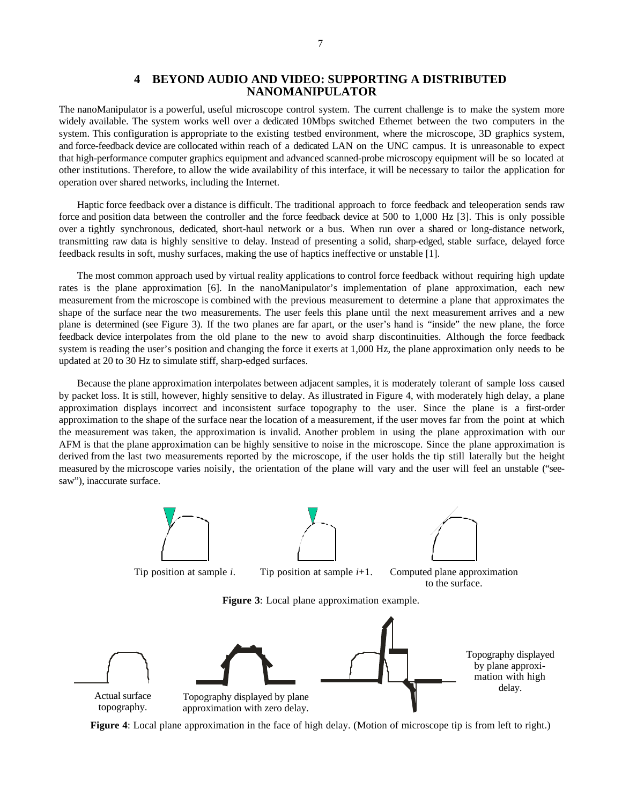### **4 BEYOND AUDIO AND VIDEO: SUPPORTING A DISTRIBUTED NANOMANIPULATOR**

The nanoManipulator is a powerful, useful microscope control system. The current challenge is to make the system more widely available. The system works well over a dedicated 10Mbps switched Ethernet between the two computers in the system. This configuration is appropriate to the existing testbed environment, where the microscope, 3D graphics system, and force-feedback device are collocated within reach of a dedicated LAN on the UNC campus. It is unreasonable to expect that high-performance computer graphics equipment and advanced scanned-probe microscopy equipment will be so located at other institutions. Therefore, to allow the wide availability of this interface, it will be necessary to tailor the application for operation over shared networks, including the Internet.

Haptic force feedback over a distance is difficult. The traditional approach to force feedback and teleoperation sends raw force and position data between the controller and the force feedback device at 500 to 1,000 Hz [3]. This is only possible over a tightly synchronous, dedicated, short-haul network or a bus. When run over a shared or long-distance network, transmitting raw data is highly sensitive to delay. Instead of presenting a solid, sharp-edged, stable surface, delayed force feedback results in soft, mushy surfaces, making the use of haptics ineffective or unstable [1].

The most common approach used by virtual reality applications to control force feedback without requiring high update rates is the plane approximation [6]. In the nanoManipulator's implementation of plane approximation, each new measurement from the microscope is combined with the previous measurement to determine a plane that approximates the shape of the surface near the two measurements. The user feels this plane until the next measurement arrives and a new plane is determined (see Figure 3). If the two planes are far apart, or the user's hand is "inside" the new plane, the force feedback device interpolates from the old plane to the new to avoid sharp discontinuities. Although the force feedback system is reading the user's position and changing the force it exerts at 1,000 Hz, the plane approximation only needs to be updated at 20 to 30 Hz to simulate stiff, sharp-edged surfaces.

Because the plane approximation interpolates between adjacent samples, it is moderately tolerant of sample loss caused by packet loss. It is still, however, highly sensitive to delay. As illustrated in Figure 4, with moderately high delay, a plane approximation displays incorrect and inconsistent surface topography to the user. Since the plane is a first-order approximation to the shape of the surface near the location of a measurement, if the user moves far from the point at which the measurement was taken, the approximation is invalid. Another problem in using the plane approximation with our AFM is that the plane approximation can be highly sensitive to noise in the microscope. Since the plane approximation is derived from the last two measurements reported by the microscope, if the user holds the tip still laterally but the height measured by the microscope varies noisily, the orientation of the plane will vary and the user will feel an unstable ("seesaw"), inaccurate surface.



**Figure 4**: Local plane approximation in the face of high delay. (Motion of microscope tip is from left to right.)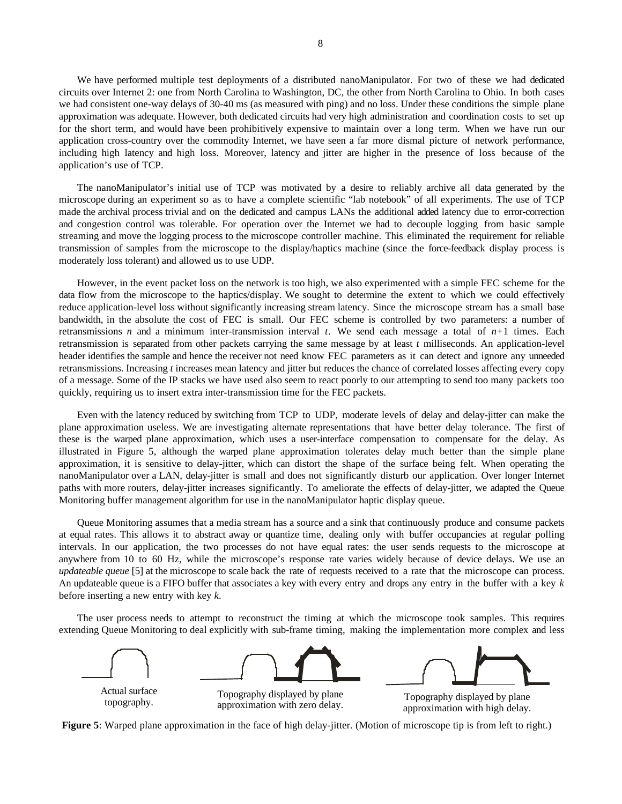We have performed multiple test deployments of a distributed nanoManipulator. For two of these we had dedicated circuits over Internet 2: one from North Carolina to Washington, DC, the other from North Carolina to Ohio. In both cases we had consistent one-way delays of 30-40 ms (as measured with ping) and no loss. Under these conditions the simple plane approximation was adequate. However, both dedicated circuits had very high administration and coordination costs to set up for the short term, and would have been prohibitively expensive to maintain over a long term. When we have run our application cross-country over the commodity Internet, we have seen a far more dismal picture of network performance, including high latency and high loss. Moreover, latency and jitter are higher in the presence of loss because of the application's use of TCP.

The nanoManipulator's initial use of TCP was motivated by a desire to reliably archive all data generated by the microscope during an experiment so as to have a complete scientific "lab notebook" of all experiments. The use of TCP made the archival process trivial and on the dedicated and campus LANs the additional added latency due to error-correction and congestion control was tolerable. For operation over the Internet we had to decouple logging from basic sample streaming and move the logging process to the microscope controller machine. This eliminated the requirement for reliable transmission of samples from the microscope to the display/haptics machine (since the force-feedback display process is moderately loss tolerant) and allowed us to use UDP.

However, in the event packet loss on the network is too high, we also experimented with a simple FEC scheme for the data flow from the microscope to the haptics/display. We sought to determine the extent to which we could effectively reduce application-level loss without significantly increasing stream latency. Since the microscope stream has a small base bandwidth, in the absolute the cost of FEC is small. Our FEC scheme is controlled by two parameters: a number of retransmissions *n* and a minimum inter-transmission interval *t*. We send each message a total of *n+*1 times. Each retransmission is separated from other packets carrying the same message by at least *t* milliseconds. An application-level header identifies the sample and hence the receiver not need know FEC parameters as it can detect and ignore any unneeded retransmissions. Increasing *t* increases mean latency and jitter but reduces the chance of correlated losses affecting every copy of a message. Some of the IP stacks we have used also seem to react poorly to our attempting to send too many packets too quickly, requiring us to insert extra inter-transmission time for the FEC packets.

Even with the latency reduced by switching from TCP to UDP, moderate levels of delay and delay-jitter can make the plane approximation useless. We are investigating alternate representations that have better delay tolerance. The first of these is the warped plane approximation, which uses a user-interface compensation to compensate for the delay. As illustrated in Figure 5, although the warped plane approximation tolerates delay much better than the simple plane approximation, it is sensitive to delay-jitter, which can distort the shape of the surface being felt. When operating the nanoManipulator over a LAN, delay-jitter is small and does not significantly disturb our application. Over longer Internet paths with more routers, delay-jitter increases significantly. To ameliorate the effects of delay-jitter, we adapted the Queue Monitoring buffer management algorithm for use in the nanoManipulator haptic display queue.

Queue Monitoring assumes that a media stream has a source and a sink that continuously produce and consume packets at equal rates. This allows it to abstract away or quantize time, dealing only with buffer occupancies at regular polling intervals. In our application, the two processes do not have equal rates: the user sends requests to the microscope at anywhere from 10 to 60 Hz, while the microscope's response rate varies widely because of device delays. We use an *updateable queue* [5] at the microscope to scale back the rate of requests received to a rate that the microscope can process. An updateable queue is a FIFO buffer that associates a key with every entry and drops any entry in the buffer with a key *k* before inserting a new entry with key *k*.

The user process needs to attempt to reconstruct the timing at which the microscope took samples. This requires extending Queue Monitoring to deal explicitly with sub-frame timing, making the implementation more complex and less



**Figure 5**: Warped plane approximation in the face of high delay-jitter. (Motion of microscope tip is from left to right.)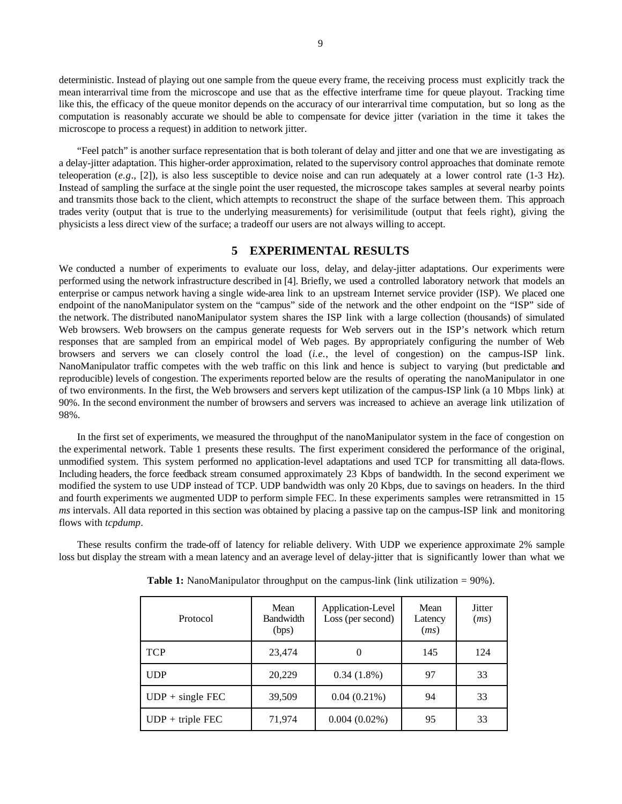deterministic. Instead of playing out one sample from the queue every frame, the receiving process must explicitly track the mean interarrival time from the microscope and use that as the effective interframe time for queue playout. Tracking time like this, the efficacy of the queue monitor depends on the accuracy of our interarrival time computation, but so long as the computation is reasonably accurate we should be able to compensate for device jitter (variation in the time it takes the microscope to process a request) in addition to network jitter.

"Feel patch" is another surface representation that is both tolerant of delay and jitter and one that we are investigating as a delay-jitter adaptation. This higher-order approximation, related to the supervisory control approaches that dominate remote teleoperation (*e.g*., [2]), is also less susceptible to device noise and can run adequately at a lower control rate (1-3 Hz). Instead of sampling the surface at the single point the user requested, the microscope takes samples at several nearby points and transmits those back to the client, which attempts to reconstruct the shape of the surface between them. This approach trades verity (output that is true to the underlying measurements) for verisimilitude (output that feels right), giving the physicists a less direct view of the surface; a tradeoff our users are not always willing to accept.

# **5 EXPERIMENTAL RESULTS**

We conducted a number of experiments to evaluate our loss, delay, and delay-jitter adaptations. Our experiments were performed using the network infrastructure described in [4]. Briefly, we used a controlled laboratory network that models an enterprise or campus network having a single wide-area link to an upstream Internet service provider (ISP). We placed one endpoint of the nanoManipulator system on the "campus" side of the network and the other endpoint on the "ISP" side of the network. The distributed nanoManipulator system shares the ISP link with a large collection (thousands) of simulated Web browsers. Web browsers on the campus generate requests for Web servers out in the ISP's network which return responses that are sampled from an empirical model of Web pages. By appropriately configuring the number of Web browsers and servers we can closely control the load (*i.e.*, the level of congestion) on the campus-ISP link. NanoManipulator traffic competes with the web traffic on this link and hence is subject to varying (but predictable and reproducible) levels of congestion. The experiments reported below are the results of operating the nanoManipulator in one of two environments. In the first, the Web browsers and servers kept utilization of the campus-ISP link (a 10 Mbps link) at 90%. In the second environment the number of browsers and servers was increased to achieve an average link utilization of 98%.

In the first set of experiments, we measured the throughput of the nanoManipulator system in the face of congestion on the experimental network. Table 1 presents these results. The first experiment considered the performance of the original, unmodified system. This system performed no application-level adaptations and used TCP for transmitting all data-flows. Including headers, the force feedback stream consumed approximately 23 Kbps of bandwidth. In the second experiment we modified the system to use UDP instead of TCP. UDP bandwidth was only 20 Kbps, due to savings on headers. In the third and fourth experiments we augmented UDP to perform simple FEC. In these experiments samples were retransmitted in 15 *ms* intervals. All data reported in this section was obtained by placing a passive tap on the campus-ISP link and monitoring flows with *tcpdump*.

These results confirm the trade-off of latency for reliable delivery. With UDP we experience approximate 2% sample loss but display the stream with a mean latency and an average level of delay-jitter that is significantly lower than what we

| Protocol           | Mean<br><b>Bandwidth</b><br>(bps) | Application-Level<br>Loss (per second) | Mean<br>Latency<br>(ms) | <b>Jitter</b><br>(ms) |
|--------------------|-----------------------------------|----------------------------------------|-------------------------|-----------------------|
| <b>TCP</b>         | 23,474                            | 0                                      | 145                     | 124                   |
| <b>UDP</b>         | 20,229                            | $0.34(1.8\%)$                          | 97                      | 33                    |
| $UDP + single FEC$ | 39,509                            | 0.04(0.21%)                            | 94                      | 33                    |
| $UDP + triple FEC$ | 71,974                            | $0.004(0.02\%)$                        | 95                      | 33                    |

**Table 1:** NanoManipulator throughput on the campus-link (link utilization = 90%).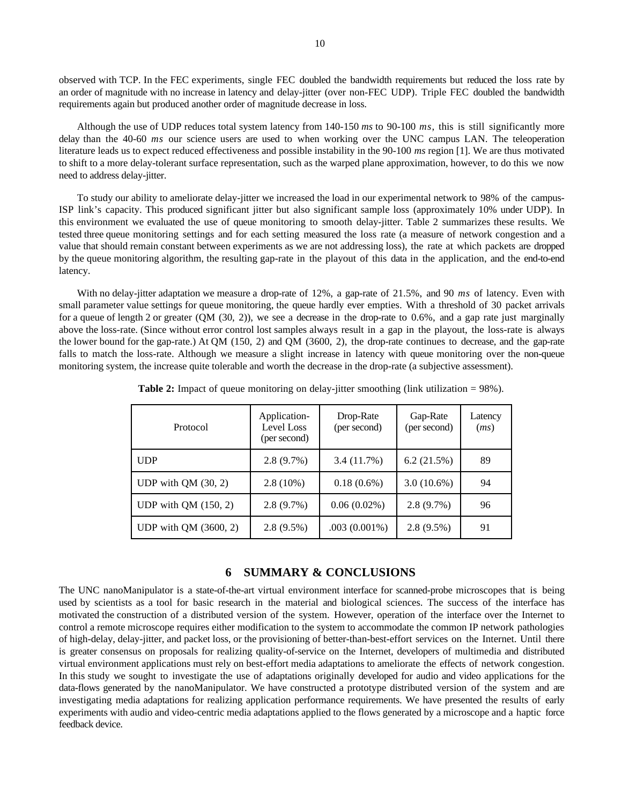observed with TCP. In the FEC experiments, single FEC doubled the bandwidth requirements but reduced the loss rate by an order of magnitude with no increase in latency and delay-jitter (over non-FEC UDP). Triple FEC doubled the bandwidth requirements again but produced another order of magnitude decrease in loss.

Although the use of UDP reduces total system latency from 140-150 *ms* to 90-100 *ms*, this is still significantly more delay than the 40-60 *ms* our science users are used to when working over the UNC campus LAN. The teleoperation literature leads us to expect reduced effectiveness and possible instability in the 90-100 *ms* region [1]. We are thus motivated to shift to a more delay-tolerant surface representation, such as the warped plane approximation, however, to do this we now need to address delay-jitter.

To study our ability to ameliorate delay-jitter we increased the load in our experimental network to 98% of the campus-ISP link's capacity. This produced significant jitter but also significant sample loss (approximately 10% under UDP). In this environment we evaluated the use of queue monitoring to smooth delay-jitter. Table 2 summarizes these results. We tested three queue monitoring settings and for each setting measured the loss rate (a measure of network congestion and a value that should remain constant between experiments as we are not addressing loss), the rate at which packets are dropped by the queue monitoring algorithm, the resulting gap-rate in the playout of this data in the application, and the end-to-end latency.

With no delay-jitter adaptation we measure a drop-rate of 12%, a gap-rate of 21.5%, and 90 *ms* of latency. Even with small parameter value settings for queue monitoring, the queue hardly ever empties. With a threshold of 30 packet arrivals for a queue of length 2 or greater (QM (30, 2)), we see a decrease in the drop-rate to 0.6%, and a gap rate just marginally above the loss-rate. (Since without error control lost samples always result in a gap in the playout, the loss-rate is always the lower bound for the gap-rate.) At QM (150, 2) and QM (3600, 2), the drop-rate continues to decrease, and the gap-rate falls to match the loss-rate. Although we measure a slight increase in latency with queue monitoring over the non-queue monitoring system, the increase quite tolerable and worth the decrease in the drop-rate (a subjective assessment).

| Protocol               | Application-<br>Level Loss<br>(per second) | Drop-Rate<br>(per second) | Gap-Rate<br>(per second) | Latency<br>(ms) |
|------------------------|--------------------------------------------|---------------------------|--------------------------|-----------------|
| <b>UDP</b>             | 2.8(9.7%)                                  | 3.4(11.7%)                | 6.2(21.5%)               | 89              |
| UDP with QM $(30, 2)$  | $2.8(10\%)$                                | $0.18(0.6\%)$             | $3.0(10.6\%)$            | 94              |
| UDP with QM $(150, 2)$ | 2.8(9.7%)                                  | $0.06(0.02\%)$            | $2.8(9.7\%)$             | 96              |
| UDP with QM (3600, 2)  | $2.8(9.5\%)$                               | $.003(0.001\%)$           | $2.8(9.5\%)$             | 91              |

**Table 2:** Impact of queue monitoring on delay-jitter smoothing (link utilization = 98%).

#### **6 SUMMARY & CONCLUSIONS**

The UNC nanoManipulator is a state-of-the-art virtual environment interface for scanned-probe microscopes that is being used by scientists as a tool for basic research in the material and biological sciences. The success of the interface has motivated the construction of a distributed version of the system. However, operation of the interface over the Internet to control a remote microscope requires either modification to the system to accommodate the common IP network pathologies of high-delay, delay-jitter, and packet loss, or the provisioning of better-than-best-effort services on the Internet. Until there is greater consensus on proposals for realizing quality-of-service on the Internet, developers of multimedia and distributed virtual environment applications must rely on best-effort media adaptations to ameliorate the effects of network congestion. In this study we sought to investigate the use of adaptations originally developed for audio and video applications for the data-flows generated by the nanoManipulator. We have constructed a prototype distributed version of the system and are investigating media adaptations for realizing application performance requirements. We have presented the results of early experiments with audio and video-centric media adaptations applied to the flows generated by a microscope and a haptic force feedback device.